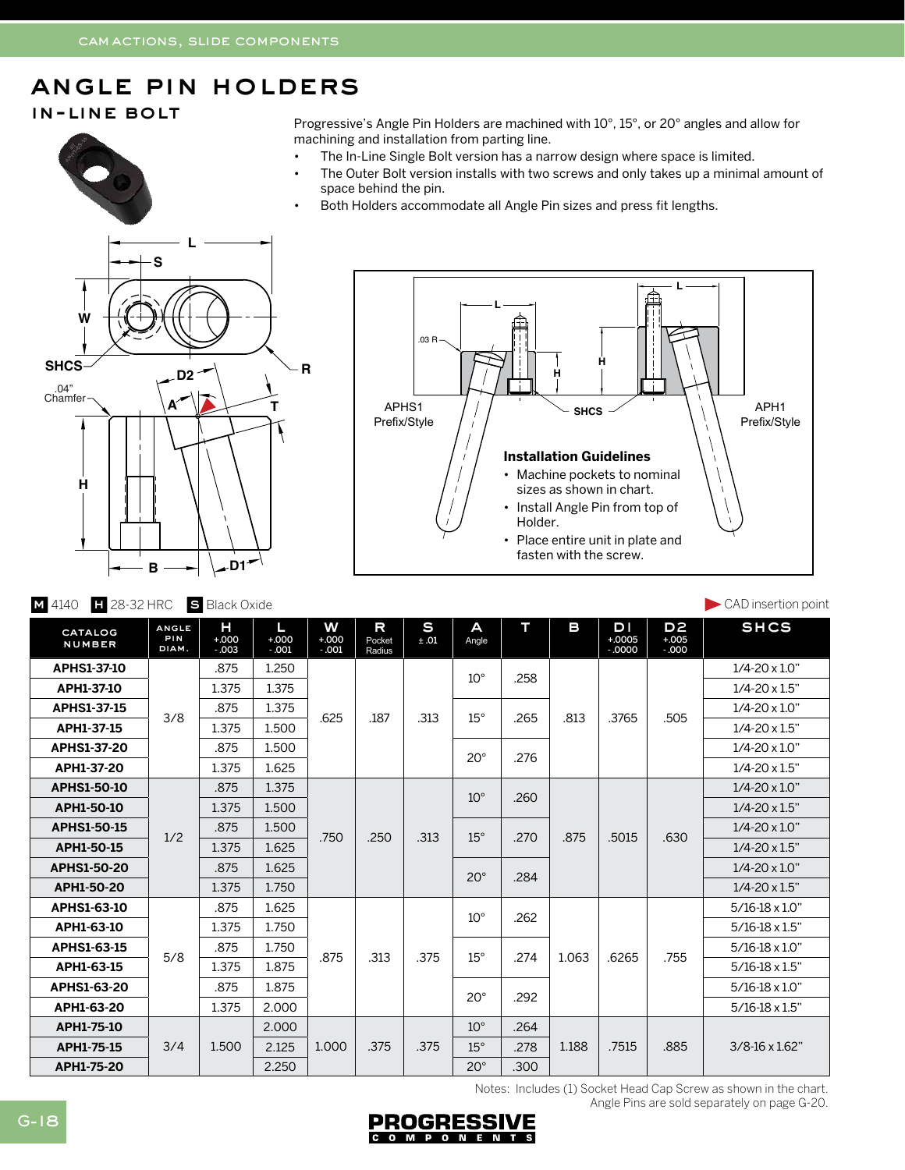## angle pin holders

## in-line bolt

Progressive's Angle Pin Holders are machined with 10°, 15°, or 20° angles and allow for machining and installation from parting line.

- The In-Line Single Bolt version has a narrow design where space is limited.
- The Outer Bolt version installs with two screws and only takes up a minimal amount of space behind the pin.
- Both Holders accommodate all Angle Pin sizes and press fit lengths.





| <b>S</b> Black Oxide<br>$\blacksquare$ 28-32 HRC<br>M 4140 |                              |                         |                         |                         |                       |           |              |      |       |                           |                                    | CAD insertion point      |
|------------------------------------------------------------|------------------------------|-------------------------|-------------------------|-------------------------|-----------------------|-----------|--------------|------|-------|---------------------------|------------------------------------|--------------------------|
| CATALOG<br><b>NUMBER</b>                                   | <b>ANGLE</b><br>PIN<br>DIAM. | н<br>$+000$<br>$-0.003$ | L<br>$+000$<br>$-0.001$ | W<br>$+000$<br>$-0.001$ | R<br>Pocket<br>Radius | S<br>±.01 | A<br>Angle   | т    | в     | D I<br>$+0005$<br>$-0000$ | D <sub>2</sub><br>$+005$<br>$-000$ | <b>SHCS</b>              |
| APHS1-37-10                                                | 3/8                          | .875                    | 1.250                   | .625                    | .187                  | .313      | $10^{\circ}$ | .258 | .813  | .3765                     | .505                               | $1/4 - 20 \times 1.0$ "  |
| APH1-37-10                                                 |                              | 1.375                   | 1.375                   |                         |                       |           |              |      |       |                           |                                    | $1/4 - 20 \times 1.5$ "  |
| <b>APHS1-37-15</b>                                         |                              | .875                    | 1.375                   |                         |                       |           | $15^\circ$   | .265 |       |                           |                                    | $1/4 - 20 \times 1.0$ "  |
| APH1-37-15                                                 |                              | 1.375                   | 1.500                   |                         |                       |           |              |      |       |                           |                                    | $1/4 - 20 \times 1.5$ "  |
| APHS1-37-20                                                |                              | .875                    | 1.500                   |                         |                       |           | $20^{\circ}$ | .276 |       |                           |                                    | $1/4 - 20 \times 1.0$ "  |
| APH1-37-20                                                 |                              | 1.375                   | 1.625                   |                         |                       |           |              |      |       |                           |                                    | $1/4 - 20 \times 1.5$ "  |
| <b>APHS1-50-10</b>                                         | 1/2                          | .875                    | 1.375                   | .750                    | .250                  | .313      | $10^{\circ}$ | .260 | .875  | .5015                     | .630                               | $1/4 - 20 \times 1.0$ "  |
| APH1-50-10                                                 |                              | 1.375                   | 1.500                   |                         |                       |           |              |      |       |                           |                                    | $1/4 - 20 \times 1.5$ "  |
| <b>APHS1-50-15</b>                                         |                              | .875                    | 1.500                   |                         |                       |           | $15^\circ$   | .270 |       |                           |                                    | $1/4 - 20 \times 1.0$ "  |
| APH1-50-15                                                 |                              | 1.375                   | 1.625                   |                         |                       |           |              |      |       |                           |                                    | $1/4 - 20 \times 1.5$ "  |
| <b>APHS1-50-20</b>                                         |                              | .875                    | 1.625                   |                         |                       |           | $20^{\circ}$ | .284 |       |                           |                                    | $1/4 - 20 \times 1.0$ "  |
| APH1-50-20                                                 |                              | 1.375                   | 1.750                   |                         |                       |           |              |      |       |                           |                                    | $1/4 - 20 \times 1.5$ "  |
| APHS1-63-10                                                | 5/8                          | .875                    | 1.625                   | .875                    | .313                  | .375      | $10^{\circ}$ | .262 | 1.063 | .6265                     | .755                               | $5/16 - 18 \times 1.0$ " |
| APH1-63-10                                                 |                              | 1.375                   | 1.750                   |                         |                       |           |              |      |       |                           |                                    | $5/16 - 18 \times 1.5$ " |
| APHS1-63-15                                                |                              | .875                    | 1.750                   |                         |                       |           | $15^\circ$   | .274 |       |                           |                                    | $5/16 - 18 \times 1.0$ " |
| APH1-63-15                                                 |                              | 1.375                   | 1.875                   |                         |                       |           |              |      |       |                           |                                    | $5/16 - 18 \times 1.5$ " |
| APHS1-63-20                                                |                              | .875                    | 1.875                   |                         |                       |           | $20^{\circ}$ | .292 |       |                           |                                    | $5/16 - 18 \times 1.0$ " |
| APH1-63-20                                                 |                              | 1.375                   | 2.000                   |                         |                       |           |              |      |       |                           |                                    | $5/16 - 18 \times 1.5$ " |
| APH1-75-10                                                 |                              |                         | 2.000                   |                         |                       |           | $10^{\circ}$ | .264 |       |                           |                                    |                          |
| APH1-75-15                                                 | 3/4                          | 1.500                   | 2.125                   | 1.000                   | .375                  | .375      | $15^{\circ}$ | .278 | 1.188 | .7515                     | .885                               | $3/8 - 16 \times 1.62$ " |
| APH1-75-20                                                 |                              |                         | 2.250                   |                         |                       |           | $20^{\circ}$ | .300 |       |                           |                                    |                          |

Notes: Includes (1) Socket Head Cap Screw as shown in the chart.

Angle Pins are sold separately on page G-20.